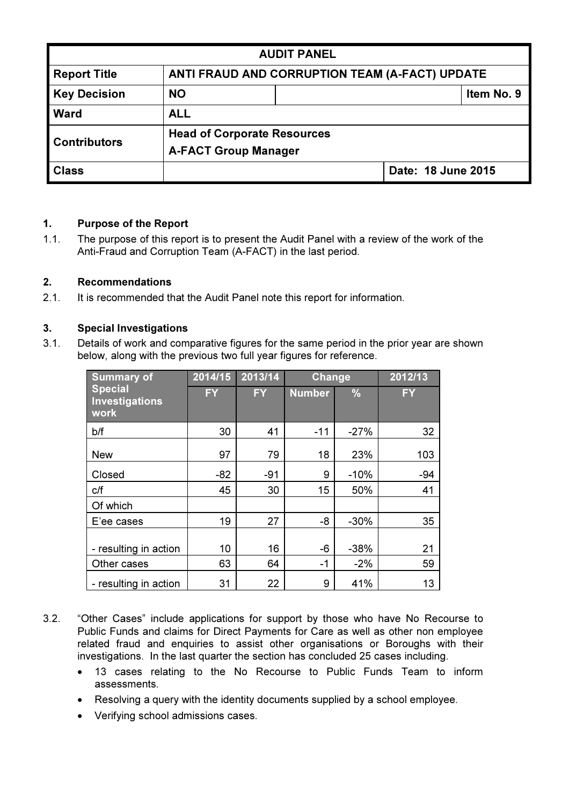| <b>AUDIT PANEL</b>                                        |                                                |  |                    |            |  |  |
|-----------------------------------------------------------|------------------------------------------------|--|--------------------|------------|--|--|
| <b>Report Title</b>                                       | ANTI FRAUD AND CORRUPTION TEAM (A-FACT) UPDATE |  |                    |            |  |  |
| <b>Key Decision</b>                                       | <b>NO</b>                                      |  |                    | Item No. 9 |  |  |
| <b>Ward</b>                                               | <b>ALL</b>                                     |  |                    |            |  |  |
| <b>Head of Corporate Resources</b><br><b>Contributors</b> |                                                |  |                    |            |  |  |
| <b>A-FACT Group Manager</b>                               |                                                |  |                    |            |  |  |
| <b>Class</b>                                              |                                                |  | Date: 18 June 2015 |            |  |  |

## 1. Purpose of the Report

1.1. The purpose of this report is to present the Audit Panel with a review of the work of the Anti-Fraud and Corruption Team (A-FACT) in the last period.

## 2. Recommendations

2.1. It is recommended that the Audit Panel note this report for information.

## 3. Special Investigations

3.1. Details of work and comparative figures for the same period in the prior year are shown below, along with the previous two full year figures for reference.

| <b>Summary of</b>                               | 2014/15   | 2013/14 | Change        |               | 2012/13   |
|-------------------------------------------------|-----------|---------|---------------|---------------|-----------|
| <b>Special</b><br><b>Investigations</b><br>work | <b>FY</b> | FY.     | <b>Number</b> | $\frac{9}{6}$ | <b>FY</b> |
| b/f                                             | 30        | 41      | $-11$         | $-27%$        | 32        |
| <b>New</b>                                      | 97        | 79      | 18            | 23%           | 103       |
| Closed                                          | $-82$     | $-91$   | 9             | $-10%$        | $-94$     |
| C/f                                             | 45        | 30      | 15            | 50%           | 41        |
| Of which                                        |           |         |               |               |           |
| E'ee cases                                      | 19        | 27      | -8            | $-30%$        | 35        |
| - resulting in action                           | 10        | 16      | -6            | $-38%$        | 21        |
| Other cases                                     | 63        | 64      | $-1$          | $-2%$         | 59        |
| - resulting in action                           | 31        | 22      | 9             | 41%           | 13        |

- 3.2. "Other Cases" include applications for support by those who have No Recourse to Public Funds and claims for Direct Payments for Care as well as other non employee related fraud and enquiries to assist other organisations or Boroughs with their investigations. In the last quarter the section has concluded 25 cases including.
	- 13 cases relating to the No Recourse to Public Funds Team to inform assessments.
	- Resolving a query with the identity documents supplied by a school employee.
	- Verifying school admissions cases.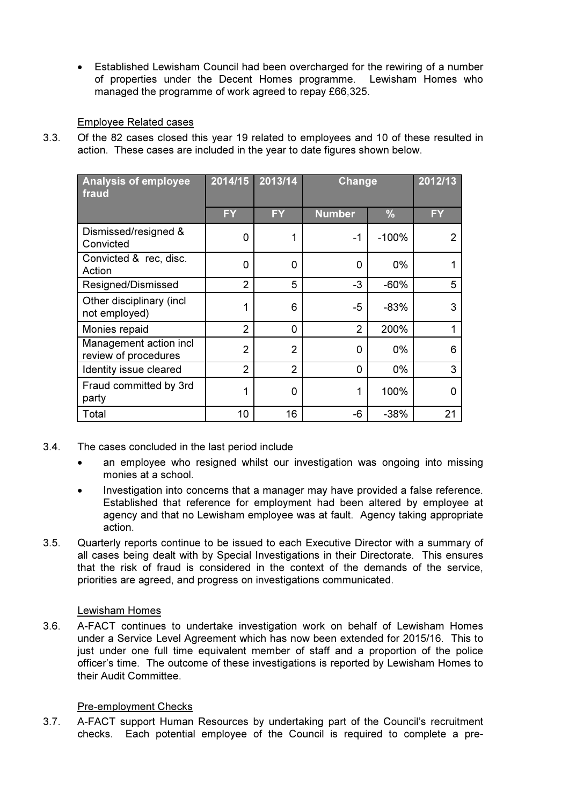• Established Lewisham Council had been overcharged for the rewiring of a number of properties under the Decent Homes programme. Lewisham Homes who managed the programme of work agreed to repay £66,325.

## Employee Related cases

3.3. Of the 82 cases closed this year 19 related to employees and 10 of these resulted in action. These cases are included in the year to date figures shown below.

| <b>Analysis of employee</b><br>fraud           | 2014/15        | 2013/14        | <b>Change</b> |               | 2012/13   |
|------------------------------------------------|----------------|----------------|---------------|---------------|-----------|
|                                                | <b>FY</b>      | <b>FY</b>      | <b>Number</b> | $\frac{9}{6}$ | <b>FY</b> |
| Dismissed/resigned &<br>Convicted              | 0              | 1              | -1            | $-100%$       |           |
| Convicted & rec, disc.<br>Action               | 0              | 0              | 0             | 0%            |           |
| Resigned/Dismissed                             | $\overline{2}$ | 5              | -3            | $-60%$        | 5         |
| Other disciplinary (incl.<br>not employed)     | 1              | 6              | -5            | -83%          | 3         |
| Monies repaid                                  | $\overline{2}$ | 0              | 2             | 200%          |           |
| Management action incl<br>review of procedures | $\overline{2}$ | 2              | 0             | 0%            | 6         |
| Identity issue cleared                         | $\overline{2}$ | $\overline{2}$ | 0             | 0%            | 3         |
| Fraud committed by 3rd<br>party                | 1              | 0              | 1             | 100%          | O         |
| Total                                          | 10             | 16             | -6            | $-38%$        | 21        |

- 3.4. The cases concluded in the last period include
	- an employee who resigned whilst our investigation was ongoing into missing monies at a school.
	- Investigation into concerns that a manager may have provided a false reference. Established that reference for employment had been altered by employee at agency and that no Lewisham employee was at fault. Agency taking appropriate action.
- 3.5. Quarterly reports continue to be issued to each Executive Director with a summary of all cases being dealt with by Special Investigations in their Directorate. This ensures that the risk of fraud is considered in the context of the demands of the service, priorities are agreed, and progress on investigations communicated.

# Lewisham Homes

3.6. A-FACT continues to undertake investigation work on behalf of Lewisham Homes under a Service Level Agreement which has now been extended for 2015/16. This to just under one full time equivalent member of staff and a proportion of the police officer's time. The outcome of these investigations is reported by Lewisham Homes to their Audit Committee.

# Pre-employment Checks

3.7. A-FACT support Human Resources by undertaking part of the Council's recruitment checks. Each potential employee of the Council is required to complete a pre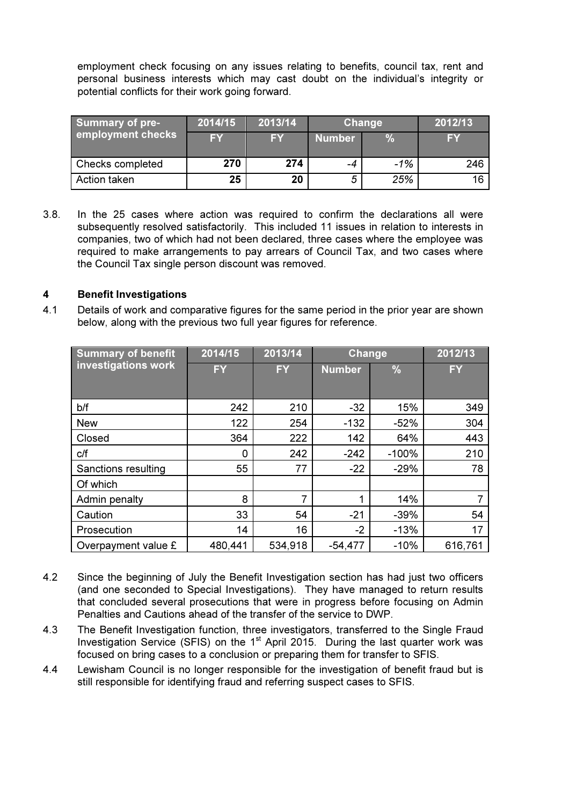employment check focusing on any issues relating to benefits, council tax, rent and personal business interests which may cast doubt on the individual's integrity or potential conflicts for their work going forward.

| <b>Summary of pre-</b><br>employment checks | 2014/15 | 2013/14   | Change        |       | 2012/13   |
|---------------------------------------------|---------|-----------|---------------|-------|-----------|
|                                             | FY      | <b>FY</b> | <b>Number</b> |       | <b>FY</b> |
| Checks completed                            | 270     | 274       | -4            | $-1%$ | 246       |
| Action taken                                | 25      | 20        |               | 25%   | 16        |

3.8. In the 25 cases where action was required to confirm the declarations all were subsequently resolved satisfactorily. This included 11 issues in relation to interests in companies, two of which had not been declared, three cases where the employee was required to make arrangements to pay arrears of Council Tax, and two cases where the Council Tax single person discount was removed.

## 4 Benefit Investigations

4.1 Details of work and comparative figures for the same period in the prior year are shown below, along with the previous two full year figures for reference.

| <b>Summary of benefit</b> | 2014/15   | 2013/14   | <b>Change</b> |               | 2012/13   |
|---------------------------|-----------|-----------|---------------|---------------|-----------|
| investigations work       | <b>FY</b> | <b>FY</b> | <b>Number</b> | $\frac{0}{6}$ | <b>FY</b> |
|                           |           |           |               |               |           |
| b/f                       | 242       | 210       | $-32$         | 15%           | 349       |
| <b>New</b>                | 122       | 254       | $-132$        | $-52%$        | 304       |
| Closed                    | 364       | 222       | 142           | 64%           | 443       |
| C/f                       | 0         | 242       | $-242$        | $-100%$       | 210       |
| Sanctions resulting       | 55        | 77        | $-22$         | $-29%$        | 78        |
| Of which                  |           |           |               |               |           |
| Admin penalty             | 8         | 7         | 1             | 14%           |           |
| Caution                   | 33        | 54        | $-21$         | $-39%$        | 54        |
| Prosecution               | 14        | 16        | $-2$          | $-13%$        | 17        |
| Overpayment value £       | 480,441   | 534,918   | $-54,477$     | $-10%$        | 616,761   |

- 4.2 Since the beginning of July the Benefit Investigation section has had just two officers (and one seconded to Special Investigations). They have managed to return results that concluded several prosecutions that were in progress before focusing on Admin Penalties and Cautions ahead of the transfer of the service to DWP.
- 4.3 The Benefit Investigation function, three investigators, transferred to the Single Fraud Investigation Service (SFIS) on the  $1<sup>st</sup>$  April 2015. During the last quarter work was focused on bring cases to a conclusion or preparing them for transfer to SFIS.
- 4.4 Lewisham Council is no longer responsible for the investigation of benefit fraud but is still responsible for identifying fraud and referring suspect cases to SFIS.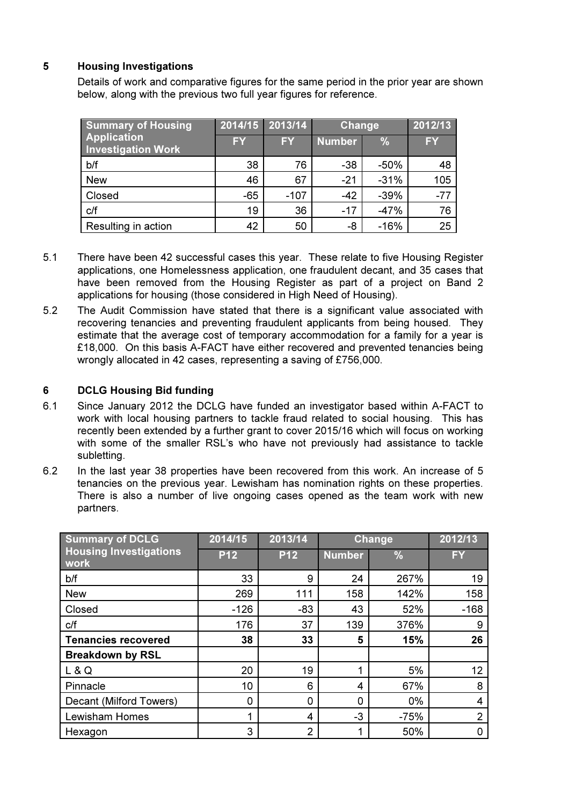# 5 Housing Investigations

Details of work and comparative figures for the same period in the prior year are shown below, along with the previous two full year figures for reference.

| <b>Summary of Housing</b>                       | 2014/15   | 2013/14 | Change        |               | 2012/13   |
|-------------------------------------------------|-----------|---------|---------------|---------------|-----------|
| <b>Application</b><br><b>Investigation Work</b> | <b>FY</b> | FY      | <b>Number</b> | $\frac{0}{0}$ | <b>FY</b> |
| b/f                                             | 38        | 76      | $-38$         | $-50%$        | 48        |
| <b>New</b>                                      | 46        | 67      | $-21$         | $-31%$        | 105       |
| Closed                                          | $-65$     | $-107$  | $-42$         | $-39%$        | $-77$     |
| C/f                                             | 19        | 36      | $-17$         | $-47%$        | 76        |
| Resulting in action                             | 42        | 50      | -8            | $-16%$        | 25        |

- 5.1 There have been 42 successful cases this year. These relate to five Housing Register applications, one Homelessness application, one fraudulent decant, and 35 cases that have been removed from the Housing Register as part of a project on Band 2 applications for housing (those considered in High Need of Housing).
- 5.2 The Audit Commission have stated that there is a significant value associated with recovering tenancies and preventing fraudulent applicants from being housed. They estimate that the average cost of temporary accommodation for a family for a year is £18,000. On this basis A-FACT have either recovered and prevented tenancies being wrongly allocated in 42 cases, representing a saving of £756,000.

## 6 DCLG Housing Bid funding

- 6.1 Since January 2012 the DCLG have funded an investigator based within A-FACT to work with local housing partners to tackle fraud related to social housing. This has recently been extended by a further grant to cover 2015/16 which will focus on working with some of the smaller RSL's who have not previously had assistance to tackle subletting.
- 6.2 In the last year 38 properties have been recovered from this work. An increase of 5 tenancies on the previous year. Lewisham has nomination rights on these properties. There is also a number of live ongoing cases opened as the team work with new partners.

| <b>Summary of DCLG</b>                | 2014/15    | 2013/14<br>Change |               | 2012/13       |        |
|---------------------------------------|------------|-------------------|---------------|---------------|--------|
| <b>Housing Investigations</b><br>work | <b>P12</b> | <b>P12</b>        | <b>Number</b> | $\frac{9}{6}$ | FY     |
| b/f                                   | 33         | 9                 | 24            | 267%          | 19     |
| <b>New</b>                            | 269        | 111               | 158           | 142%          | 158    |
| Closed                                | $-126$     | $-83$             | 43            | 52%           | $-168$ |
| C/f                                   | 176        | 37                | 139           | 376%          | 9      |
| <b>Tenancies recovered</b>            | 38         | 33                | 5             | 15%           | 26     |
| <b>Breakdown by RSL</b>               |            |                   |               |               |        |
| L & Q                                 | 20         | 19                | 4             | 5%            | 12     |
| Pinnacle                              | 10         | 6                 | 4             | 67%           | 8      |
| Decant (Milford Towers)               | 0          | 0                 | 0             | 0%            | 4      |
| <b>Lewisham Homes</b>                 | 1          | 4                 | $-3$          | $-75%$        | 2      |
| Hexagon                               | 3          | $\overline{2}$    | 1             | 50%           |        |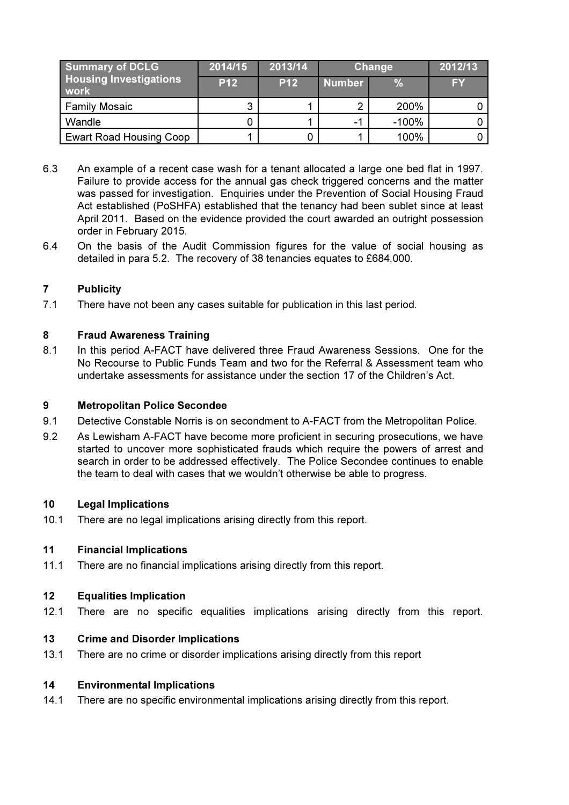| <b>Summary of DCLG</b><br><b>Housing Investigations</b><br>work | 2014/15    | 2013/14    | Change        |          | 2012/13 |
|-----------------------------------------------------------------|------------|------------|---------------|----------|---------|
|                                                                 | <b>P12</b> | <b>P12</b> | <b>Number</b> |          | FY      |
| <b>Family Mosaic</b>                                            | ີ          |            | ◠             | 200%     |         |
| Wandle                                                          |            |            | $-1$          | $-100\%$ |         |
| <b>Ewart Road Housing Coop</b>                                  |            |            |               | 100%     |         |

- 6.3 An example of a recent case wash for a tenant allocated a large one bed flat in 1997. Failure to provide access for the annual gas check triggered concerns and the matter was passed for investigation. Enquiries under the Prevention of Social Housing Fraud Act established (PoSHFA) established that the tenancy had been sublet since at least April 2011. Based on the evidence provided the court awarded an outright possession order in February 2015.
- 6.4 On the basis of the Audit Commission figures for the value of social housing as detailed in para 5.2. The recovery of 38 tenancies equates to £684,000.

## 7 Publicity

7.1 There have not been any cases suitable for publication in this last period.

## 8 Fraud Awareness Training

8.1 In this period A-FACT have delivered three Fraud Awareness Sessions. One for the No Recourse to Public Funds Team and two for the Referral & Assessment team who undertake assessments for assistance under the section 17 of the Children's Act.

## 9 Metropolitan Police Secondee

- 9.1 Detective Constable Norris is on secondment to A-FACT from the Metropolitan Police.
- 9.2 As Lewisham A-FACT have become more proficient in securing prosecutions, we have started to uncover more sophisticated frauds which require the powers of arrest and search in order to be addressed effectively. The Police Secondee continues to enable the team to deal with cases that we wouldn't otherwise be able to progress.

## 10 Legal Implications

10.1 There are no legal implications arising directly from this report.

# 11 Financial Implications

11.1 There are no financial implications arising directly from this report.

## 12 Equalities Implication

12.1 There are no specific equalities implications arising directly from this report.

## 13 Crime and Disorder Implications

13.1 There are no crime or disorder implications arising directly from this report

## 14 Environmental Implications

14.1 There are no specific environmental implications arising directly from this report.